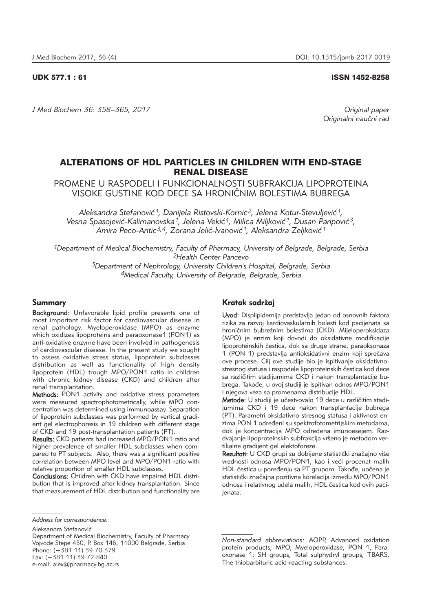#### UDK 577.1 : 61 ISSN 1452-8258

*J Med Biochem 36: 358–365, 2017 Original paper*

*Originalni nau~ni rad*

# ALTERATIONS OF HDL PARTICLES IN CHILDREN WITH END-STAGE RENAL DISEASE

PROMENE U RASPODELI I FUNKCIONALNOSTI SUBFRAKCIJA LIPOPROTEINA VISOKE GUSTINE KOD DECE SA HRONI^NIM BOLESTIMA BUBREGA

Aleksandra Stefanović<sup>1</sup>, Danijela Ristovski-Kornic<sup>2</sup>, Jelena Kotur-Stevuljević<sup>1</sup>, Vesna Spasojević-Kalimanovska<sup>1</sup>, Jelena Vekić<sup>1</sup>, Milica Miljković<sup>1</sup>, Dusan Paripović<sup>3</sup>, Amira Peco-Antic<sup>3,4</sup>, Zorana Jelić-Ivanović<sup>1</sup>, Aleksandra Zeljković<sup>1</sup>

*1Department of Medical Biochemistry, Faculty of Pharmacy, University of Belgrade, Belgrade, Serbia 2Health Center Pancevo* 

> *3Department of Nephrology, University Children's Hospital, Belgrade, Serbia 4Medical Faculty, University of Belgrade, Belgrade, Serbia*

### Summary

Background: Unfavorable lipid profile presents one of most important risk factor for cardiovascular disease in renal pathology. Myeloperoxidase (MPO) as enzyme which oxidizes lipoproteins and paraoxonase1 (PON1) as anti-oxidative enzyme have been involved in pathogenesis of cardiovascular disease. In the present study we sought to assess oxidative stress status, lipoprotein subclasses distribution as well as functionality of high density lipoprotein (HDL) trough MPO/PON1 ratio in children with chronic kidney disease (CKD) and children after renal transplantation.

Methods: PON1 activity and oxidative stress parameters were measured spectrophotometrically, while MPO concentration was determined using immunoassay. Separation of lipoprotein subclasses was performed by vertical gradient gel electrophoresis in 19 children with different stage of CKD and 19 post-transplantation patients (PT).

Results: CKD patients had increased MPO/PON1 ratio and higher prevalence of smaller HDL subclasses when compared to PT subjects. Also, there was a significant positive correlation between MPO level and MPO/PON1 ratio with relative proportion of smaller HDL subclasses.

Conclusions: Children with CKD have impaired HDL distribution that is improved after kidney transplantation. Since that measurement of HDL distribution and functionality are

Aleksandra Stefanović

Department of Medical Biochemistry, Faculty of Pharmacy Vojvode Stepe 450, P. Box 146, 11000 Belgrade, Serbia Phone: (+381 11) 39-70-379 Fax: (+381 11) 39-72-840 e-mail: alex@pharmacy.bg.ac.rs

## Kratak sadržaj

Uvod: Displipidemija predstavlja jedan od osnovnih faktora rizika za razvoj kardiovaskularnih bolesti kod pacijenata sa hroničnim bubrežnim bolestima (CKD). Mijeloperoksidaza (MPO) je enzim koji dovodi do oksidativne modifikacije lipoproteinskih čestica, dok sa druge strane, paraoksonaza 1 (PON 1) predstavlja antioksidativni enzim koji sprečava ove procese. Cilj ove studije bio je ispitivanje oksidativnostresnog statusa i raspodele lipoproteinskih čestica kod dece sa različitim stadijumima CKD i nakon transplantacije bubrega. Takođe, u ovoj studiji je ispitivan odnos MPO/PON1 i njegova veza sa promenama distribucije HDL.

Metode: U studiji je učestvovalo 19 dece u različitim stadijumima CKD i 19 dece nakon transplantacije bubrega (PT). Parametri oksidativno-stresnog statusa i aktivnost en zima PON 1 određeni su spektrofotometrijskim metodama, dok je koncentracija MPO određena imunoesejem. Razdvajanje lipoproteinskih subfrakcija vršeno je metodom vertikalne gradijent gel elektoforeze.

Rezultati: U CKD grupi su dobijene statistički značajno više vrednosti odnosa MPO/PON1, kao i veći procenat malih HDL čestica u poređenju sa PT grupom. Takođe, uočena je statistički značajna pozitivna korelacija između MPO/PON1 odnosa i relativnog udela malih, HDL čestica kod ovih pacijenata.

*Address for correspondence:*

*Non-standard abbreviations:* AOPP, Advanced oxidation protein products; MPO, Myeloperoxidase; PON 1, Paraoxonase 1; SH groups, Total sulphydryl groups; TBARS, The thiobarbituric acid-reacting substances.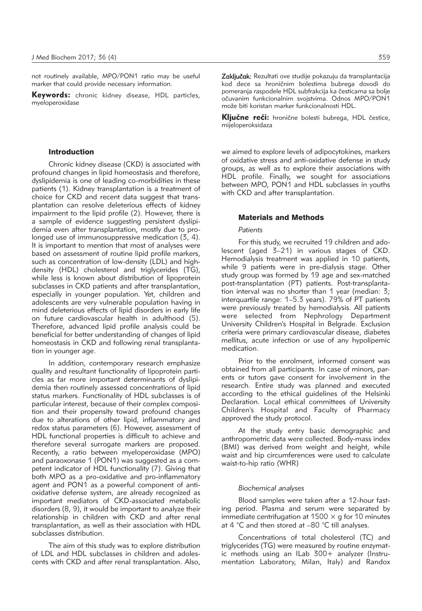not routinely available, MPO/PON1 ratio may be useful marker that could provide necessary information.

Keywords: chronic kidney disease, HDL particles, myeloperoxidase

#### Introduction

Chronic kidney disease (CKD) is associated with profound changes in lipid homeostasis and therefore, dyslipidemia is one of leading co-morbidities in these patients (1). Kidney transplantation is a treatment of choice for CKD and recent data suggest that transplantation can resolve deleterious effects of kidney impairment to the lipid profile (2). However, there is a sample of evidence suggesting persistent dyslipidemia even after transplantation, mostly due to prolonged use of immunosuppressive medication (3, 4). It is important to mention that most of analyses were based on assessment of routine lipid profile markers, such as concentration of low-density (LDL) and highdensity (HDL) cholesterol and triglycerides (TG), while less is known about distribution of lipoprotein subclasses in CKD patients and after transplantation, especially in younger population. Yet, children and adolescents are very vulnerable population having in mind deleterious effects of lipid disorders in early life on future cardiovascular health in adulthood (5). Therefore, advanced lipid profile analysis could be beneficial for better understanding of changes of lipid homeostasis in CKD and following renal transplantation in younger age.

In addition, contemporary research emphasize quality and resultant functionality of lipoprotein particles as far more important determinants of dyslipidemia then routinely assessed concentrations of lipid status markers. Functionality of HDL subclasses is of particular interest, because of their complex composition and their propensity toward profound changes due to alterations of other lipid, inflammatory and redox status parameters (6). However, assessment of HDL functional properties is difficult to achieve and therefore several surrogate markers are proposed. Recently, a ratio between myeloperoxidase (MPO) and paraoxonase 1 (PON1) was suggested as a competent indicator of HDL functionality (7). Giving that both MPO as a pro-oxidative and pro-inflammatory agent and PON1 as a powerful component of antioxidative defense system, are already recognized as important mediators of CKD-associated metabolic disorders (8, 9), it would be important to analyze their relationship in children with CKD and after renal transplantation, as well as their association with HDL subclasses distribution.

The aim of this study was to explore distribution of LDL and HDL subclasses in children and adolescents with CKD and after renal transplantation. Also,

Zaključak: Rezultati ove studije pokazuju da transplantacija kod dece sa hroničnim bolestima bubrega dovodi do pomeranja raspodele HDL subfrakcija ka česticama sa bolje očuvanim funkcionalnim svojstvima. Odnos MPO/PON1 može biti koristan marker funkcionalnosti HDL.

Ključne reči: hronične bolesti bubrega, HDL čestice, mijeloperoksidaza

we aimed to explore levels of adipocytokines, markers of oxidative stress and anti-oxidative defense in study groups, as well as to explore their associations with HDL profile. Finally, we sought for associations between MPO, PON1 and HDL subclasses in youths with CKD and after transplantation.

#### Materials and Methods

#### *Patients*

For this study, we recruited 19 children and adolescent (aged 3–21) in various stages of CKD. Hemodialysis treatment was applied in 10 patients, while 9 patients were in pre-dialysis stage. Other study group was formed by 19 age and sex-matched post-transplantation (PT) patients. Post-transplantation interval was no shorter than 1 year (median: 3; interquartile range: 1–5.3 years). 79% of PT patients were previously treated by hemodialysis. All patients were selected from Nephrology Department University Children's Hospital in Belgrade. Exclusion criteria were primary cardiovascular disease, diabetes mellitus, acute infection or use of any hypolipemic medication.

Prior to the enrolment, informed consent was obtained from all participants. In case of minors, parents or tutors gave consent for involvement in the research. Entire study was planned and executed according to the ethical guidelines of the Helsinki Declaration. Local ethical committees of University Children's Hospital and Faculty of Pharmacy approved the study protocol.

At the study entry basic demographic and anthropometric data were collected. Body-mass index (BMI) was derived from weight and height, while waist and hip circumferences were used to calculate waist-to-hip ratio (WHR)

#### *Biochemical analyses*

Blood samples were taken after a 12-hour fasting period. Plasma and serum were separated by immediate centrifugation at 1500  $\times$  g for 10 minutes at 4 °C and then stored at –80 °C till analyses.

Concentrations of total cholesterol (TC) and triglycerides (TG) were measured by routine enzymatic methods using an ILab 300+ analyzer (Instrumentation Laboratory, Milan, Italy) and Randox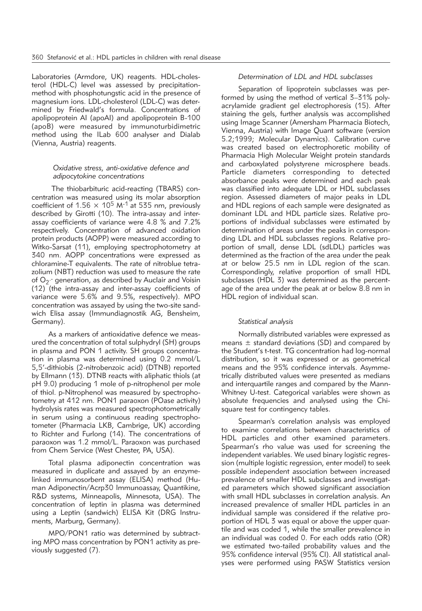Laboratories (Armdore, UK) reagents. HDL-cholesterol (HDL-C) level was assessed by precipitationmethod with phosphotungstic acid in the presence of magnesium ions. LDL-cholesterol (LDL-C) was determined by Friedwald's formula. Concentrations of apolipoprotein AI (apoAI) and apolipoprotein B-100 (apoB) were measured by immunoturbidimetric method using the ILab 600 analyser and Dialab (Vienna, Austria) reagents.

### *Oxidative stress, anti-oxidative defence and adipocytokine concentrations*

The thiobarbituric acid-reacting (TBARS) concentration was measured using its molar absorption coefficient of 1.56  $\times$  10<sup>5</sup> M<sup>-1</sup> at 535 nm, previously described by Girotti (10). The intra-assay and interassay coefficients of variance were 4.8 % and 7.2% respectively. Concentration of advanced oxidation protein products (AOPP) were measured according to Witko-Sarsat (11), employing spectrophotometry at 340 nm. AOPP concentrations were expressed as chloramine-T equivalents. The rate of nitroblue tetrazolium (NBT) reduction was used to measure the rate of  $O_2$  generation, as described by Auclair and Voisin (12) (the intra-assay and inter-assay coefficients of variance were 5.6% and 9.5%, respectively). MPO concentration was assayed by using the two-site sandwich Elisa assay (Immundiagnostik AG, Bensheim, Germany).

As a markers of antioxidative defence we measured the concentration of total sulphydryl (SH) groups in plasma and PON 1 activity. SH groups concentration in plasma was determined using 0.2 mmol/L 5,5'-dithiobis (2-nitrobenzoic acid) (DTNB) reported by Ellmann (13). DTNB reacts with aliphatic thiols (at pH 9.0) producing 1 mole of p-nitrophenol per mole of thiol. p-Nitrophenol was measured by spectrophotometry at 412 nm. PON1 paraoxon (POase activity) hydrolysis rates was measured spectrophotometrically in serum using a continuous reading spectrophotometer (Pharmacia LKB, Cambrige, UK) according to Richter and Furlong (14). The concentrations of paraoxon was 1.2 mmol/L. Paraoxon was purchased from Chem Service (West Chester, PA, USA).

Total plasma adiponectin concentration was measured in duplicate and assayed by an enzymelinked immunosorbent assay (ELISA) method (Human Adiponectin/Acrp30 Immunoassay, Quantikine, R&D systems, Minneapolis, Minnesota, USA). The con centration of leptin in plasma was determined using a Leptin (sandwich) ELISA Kit (DRG Instruments, Marburg, Germany).

MPO/PON1 ratio was determined by subtracting MPO mass concentration by PON1 activity as previously suggested (7).

## *Determination of LDL and HDL subclasses*

Separation of lipoprotein subclasses was performed by using the method of vertical 3–31% polyacrylamide gradient gel electrophoresis (15). After staining the gels, further analysis was accomplished using Image Scanner (Amersham Pharmacia Biotech, Vienna, Austria) with Image Quant software (version 5.2;1999; Molecular Dynamics). Calibration curve was created based on electrophoretic mobility of Pharmacia High Molecular Weight protein standards and carboxylated polystyrene microsphere beads. Particle diameters corresponding to detected absorbance peaks were determined and each peak was classified into adequate LDL or HDL subclasses region. Assessed diameters of major peaks in LDL and HDL regions of each sample were designated as dominant LDL and HDL particle sizes. Relative proportions of individual subclasses were estimated by determination of areas under the peaks in corresponding LDL and HDL subclasses regions. Relative proportion of small, dense LDL (sdLDL) particles was determined as the fraction of the area under the peak at or below 25.5 nm in LDL region of the scan. Correspondingly, relative proportion of small HDL subclasses (HDL 3) was determined as the percentage of the area under the peak at or below 8.8 nm in HDL region of individual scan.

## *Statistical analysis*

Normally distributed variables were expressed as means  $\pm$  standard deviations (SD) and compared by the Student's t-test. TG concentration had log-normal distribution, so it was expressed or as geometrical means and the 95% confidence intervals. Asymmetrically distributed values were presented as medians and interquartile ranges and compared by the Mann-Whitney U-test. Categorical variables were shown as absolute frequencies and analysed using the Chisquare test for contingency tables.

Spearman's correlation analysis was employed to examine correlations between characteristics of HDL particles and other examined parameters. Spearman's rho value was used for screening the independent variables. We used binary logistic regression (multiple logistic regression, enter model) to seek possible independent association between increased prevalence of smaller HDL subclasses and investigated parameters which showed significant association with small HDL subclasses in correlation analysis. An increased prevalence of smaller HDL particles in an individual sample was considered if the relative proportion of HDL 3 was equal or above the upper quartile and was coded 1, while the smaller prevalence in an individual was coded 0. For each odds ratio (OR) we estimated two-tailed probability values and the 95% confidence interval (95% CI). All statistical analyses were performed using PASW Statistics version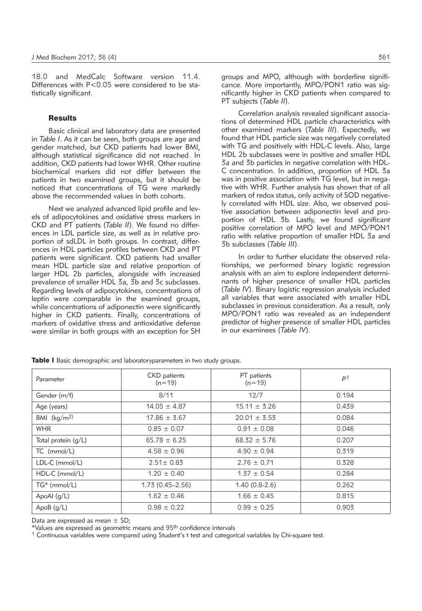18.0 and MedCalc Software version 11.4. Differences with P<0.05 were considered to be statistically significant.

### **Results**

Basic clinical and laboratory data are presented in *Table I*. As it can be seen, both groups are age and gender matched, but CKD patients had lower BMI, although statistical significance did not reached. In addition, CKD patients had lower WHR. Other routine biochemical markers did not differ between the patients in two examined groups, but it should be noticed that concentrations of TG were markedly above the recommended values in both cohorts.

Next we analyzed advanced lipid profile and levels of adipocytokines and oxidative stress markers in CKD and PT patients (*Table II*). We found no differences in LDL particle size, as well as in relative proportion of sdLDL in both groups. In contrast, differences in HDL particles profiles between CKD and PT patients were significant. CKD patients had smaller mean HDL particle size and relative proportion of larger HDL 2b particles, alongside with increased prevalence of smaller HDL 3a, 3b and 3c subclasses. Regarding levels of adipocytokines, concentrations of leptin were comparable in the examined groups, while concentrations of adiponectin were significantly higher in CKD patients. Finally, concentrations of markers of oxidative stress and antioxidative defense were similar in both groups with an exception for SH

groups and MPO, although with borderline significance. More importantly, MPO/PON1 ratio was significantly higher in CKD patients when compared to PT subjects (*Table II*).

Correlation analysis revealed significant associations of determined HDL particle characteristics with other examined markers (*Table III*). Expectedly, we found that HDL particle size was negatively correlated with TG and positively with HDL-C levels. Also, large HDL 2b subclasses were in positive and smaller HDL 3a and 3b particles in negative correlation with HDL-C concentration. In addition, proportion of HDL 3a was in positive association with TG level, but in negative with WHR. Further analysis has shown that of all markers of redox status, only activity of SOD negatively correlated with HDL size. Also, we observed positive association between adiponectin level and proportion of HDL 3b. Lastly, we found significant positive correlation of MPO level and MPO/PON1 ratio with relative proportion of smaller HDL 3a and 3b subclasses (*Table III*).

In order to further elucidate the observed relationships, we performed binary logistic regression analysis with an aim to explore independent determinants of higher presence of smaller HDL particles (*Table IV*). Binary logistic regression analysis included all variables that were associated with smaller HDL subclasses in previous consideration. As a result, only MPO/PON1 ratio was revealed as an independent predictor of higher presence of smaller HDL particles in our examinees (*Table IV*).

| Parameter             | <b>CKD</b> patients<br>$(n=19)$ | PT patients<br>$(n=19)$ | P <sup>1</sup> |
|-----------------------|---------------------------------|-------------------------|----------------|
| Gender (m/f)          | 8/11                            | 12/7                    | 0.194          |
| Age (years)           | $14.05 \pm 4.87$                | $15.11 \pm 3.26$        | 0.439          |
| BMI $(kg/m2)$         | $17.86 \pm 3.67$                | $20.01 \pm 3.53$        | 0.084          |
| <b>WHR</b>            | $0.85 \pm 0.07$                 | $0.91 \pm 0.08$         | 0.046          |
| Total protein $(q/L)$ | $65.78 \pm 6.25$                | $68.32 \pm 5.76$        | 0.207          |
| $TC \ (mmol/L)$       | $4.58 \pm 0.96$                 | $4.90 \pm 0.94$         | 0.319          |
| $LDL-C$ (mmol/L)      | $2.51 \pm 0.83$                 | $2.76 \pm 0.71$         | 0.328          |
| HDL-C (mmol/L)        | $1.20 \pm 0.40$                 | $1.37 \pm 0.54$         | 0.284          |
| $TG^*$ (mmol/L)       | $1.73(0.45 - 2.56)$             | $1.40(0.8-2.6)$         | 0.262          |
| ApoAl (g/L)           | $1.62 \pm 0.46$                 | $1.66 \pm 0.45$         | 0.815          |
| ApoB $(g/L)$          | $0.98 \pm 0.22$                 | $0.99 \pm 0.25$         | 0.903          |

Table I Basic demographic and laboratoryparameters in two study groups.

Data are expressed as mean  $\pm$  SD;

\*Values are expressed as geometric means and 95th confidence intervals

 $1$  Continuous variables were compared using Student's t test and categorical variables by Chi-square test.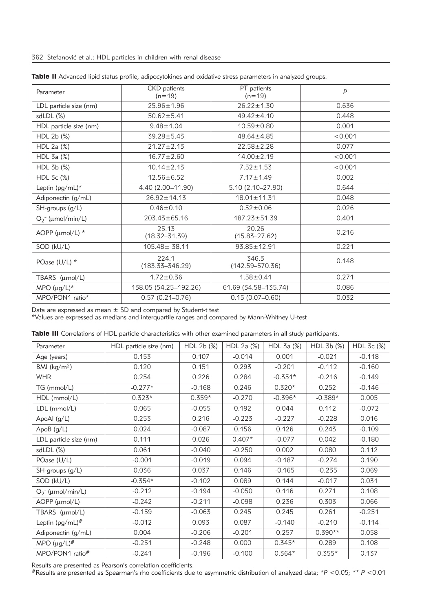| Parameter              | <b>CKD</b> patients<br>$(n=19)$ | PT patients<br>$(n=19)$      | P       |
|------------------------|---------------------------------|------------------------------|---------|
| LDL particle size (nm) | $25.96 \pm 1.96$                | $26.22 \pm 1.30$             | 0.636   |
| $sdLDL$ $(\%)$         | $50.62 \pm 5.41$                | $49.42 \pm 4.10$             | 0.448   |
| HDL particle size (nm) | $9.48 \pm 1.04$                 | $10.59 \pm 0.80$             | 0.001   |
| HDL 2b (%)             | $39.28 \pm 5.43$                | $48.64 \pm 4.85$             | < 0.001 |
| HDL 2a (%)             | $21.27 \pm 2.13$                | $22.58 \pm 2.28$             | 0.077   |
| HDL 3a (%)             | $16.77 \pm 2.60$                | $14.00 \pm 2.19$             | < 0.001 |
| HDL 3b (%)             | $10.14 \pm 2.13$                | $7.52 \pm 1.53$              | < 0.001 |
| HDL 3c (%)             | $12.56 \pm 6.52$                | $7.17 \pm 1.49$              | 0.002   |
| Leptin (pg/mL)*        | 4.40 (2.00-11.90)               | 5.10 (2.10-27.90)            | 0.644   |
| Adiponectin (g/mL)     | $26.92 \pm 14.13$               | $18.01 \pm 11.31$            | 0.048   |
| SH-groups (g/L)        | $0.46 \pm 0.10$                 | $0.52 \pm 0.06$              | 0.026   |
| $O_2^-$ (µmol/min/L)   | $203.43 \pm 65.16$              | $187.23 \pm 51.39$           | 0.401   |
| AOPP (µmol/L) *        | 25.13<br>$(18.32 - 31.39)$      | 20.26<br>$(15.83 - 27.62)$   | 0.216   |
| SOD (kU/L)             | $105.48 \pm 38.11$              | $93.85 \pm 12.91$            | 0.221   |
| POase $(U/L)$ *        | 224.1<br>(183.33–346.29)        | 346.3<br>$(142.59 - 570.36)$ | 0.148   |
| TBARS (µmol/L)         | $1.72 \pm 0.36$                 | $1.58 + 0.41$                | 0.271   |
| MPO $(\mu g/L)^*$      | 138.05 (54.25-192.26)           | 61.69 (34.58-135.74)         | 0.086   |
| MPO/PON1 ratio*        | $0.57(0.21 - 0.76)$             | $0.15(0.07 - 0.60)$          | 0.032   |

|  |  | Table II Advanced lipid status profile, adipocytokines and oxidative stress parameters in analyzed groups. |  |  |
|--|--|------------------------------------------------------------------------------------------------------------|--|--|
|  |  |                                                                                                            |  |  |

Data are expressed as mean  $\pm$  SD and compared by Student-t test

\*Values are expressed as medians and interquartile ranges and compared by Mann-Whitney U-test

|  |  | Table III Correlations of HDL particle characteristics with other examined parameters in all study participants. |  |  |  |  |  |  |
|--|--|------------------------------------------------------------------------------------------------------------------|--|--|--|--|--|--|
|--|--|------------------------------------------------------------------------------------------------------------------|--|--|--|--|--|--|

| Parameter                | HDL particle size (nm) | HDL 2b (%) | HDL 2a (%) | HDL 3a (%) | HDL 3b (%) | HDL 3c (%) |
|--------------------------|------------------------|------------|------------|------------|------------|------------|
| Age (years)              | 0.153                  | 0.107      | $-0.014$   | 0.001      | $-0.021$   | $-0.118$   |
| BMI ( $\text{kg/m}^2$ )  | 0.120                  | 0.151      | 0.293      | $-0.201$   | $-0.112$   | $-0.160$   |
| <b>WHR</b>               | 0.254                  | 0.226      | 0.284      | $-0.351*$  | $-0.216$   | $-0.149$   |
| TG (mmol/L)              | $-0.277*$              | $-0.168$   | 0.246      | $0.320*$   | 0.252      | $-0.146$   |
| HDL (mmol/L)             | $0.323*$               | $0.359*$   | $-0.270$   | $-0.396*$  | $-0.389*$  | 0.005      |
| LDL (mmol/L)             | 0.065                  | $-0.055$   | 0.192      | 0.044      | 0.112      | $-0.072$   |
| ApoAl (g/L)              | 0.253                  | 0.216      | $-0.223$   | $-0.227$   | $-0.228$   | 0.016      |
| ApoB $(g/L)$             | 0.024                  | $-0.087$   | 0.156      | 0.126      | 0.243      | $-0.109$   |
| LDL particle size (nm)   | 0.111                  | 0.026      | $0.407*$   | $-0.077$   | 0.042      | $-0.180$   |
| $sdLDL$ $(\%)$           | 0.061                  | $-0.040$   | $-0.250$   | 0.002      | 0.080      | 0.112      |
| POase (U/L)              | $-0.001$               | $-0.019$   | 0.094      | $-0.187$   | $-0.274$   | 0.190      |
| $SH\text{-}groups (g/L)$ | 0.036                  | 0.037      | 0.146      | $-0.165$   | $-0.235$   | 0.069      |
| SOD (kU/L)               | $-0.354*$              | $-0.102$   | 0.089      | 0.144      | $-0.017$   | 0.031      |
| $O_2$ - (µmol/min/L)     | $-0.212$               | $-0.194$   | $-0.050$   | 0.116      | 0.271      | 0.108      |
| $AOPP$ ( $\mu$ mol/L)    | $-0.242$               | $-0.211$   | $-0.098$   | 0.236      | 0.303      | 0.066      |
| TBARS (µmol/L)           | $-0.159$               | $-0.063$   | 0.245      | 0.245      | 0.261      | $-0.251$   |
| Leptin (pg/mL)#          | $-0.012$               | 0.093      | 0.087      | $-0.140$   | $-0.210$   | $-0.114$   |
| Adiponectin (g/mL)       | 0.004                  | $-0.206$   | $-0.201$   | 0.257      | $0.390**$  | 0.058      |
| MPO $(\mu g/L)^{\#}$     | $-0.251$               | $-0.248$   | 0.000      | $0.345*$   | 0.289      | 0.108      |
| MPO/PON1 ratio#          | $-0.241$               | $-0.196$   | $-0.100$   | $0.364*$   | $0.355*$   | 0.137      |

Results are presented as Pearson's correlation coefficients.

#Results are presented as Spearman's rho coefficients due to asymmetric distribution of analyzed data; \**P* <0.05; \*\* *P* <0.01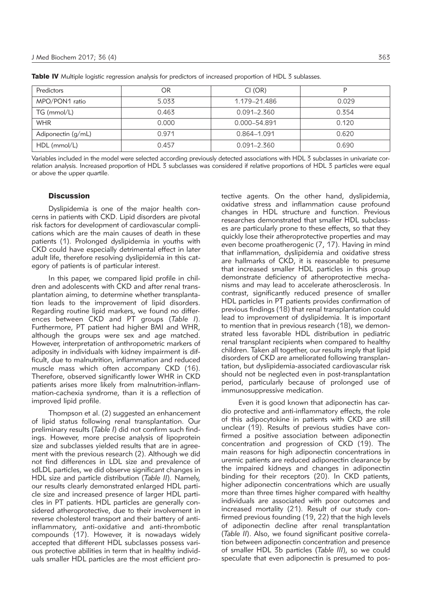| Predictors         | OR    | CI (OR)         |       |
|--------------------|-------|-----------------|-------|
| MPO/PON1 ratio     | 5.033 | 1.179-21.486    | 0.029 |
| TG (mmol/L)        | 0.463 | $0.091 - 2.360$ | 0.354 |
| <b>WHR</b>         | 0.000 | 0.000-54.891    | 0.120 |
| Adiponectin (g/mL) | 0.971 | 0.864-1.091     | 0.620 |
| $HDL$ (mmol/L)     | 0.457 | $0.091 - 2.360$ | 0.690 |

Table IV Multiple logistic regression analysis for predictors of increased proportion of HDL 3 sublasses.

Variables included in the model were selected according previously detected associations with HDL 3 subclasses in univariate correlation analysis. Increased proportion of HDL 3 subclasses was considered if relative proportions of HDL 3 particles were equal or above the upper quartile.

### **Discussion**

Dyslipidemia is one of the major health concerns in patients with CKD. Lipid disorders are pivotal risk factors for development of cardiovascular complications which are the main causes of death in these patients (1). Prolonged dyslipidemia in youths with CKD could have especially detrimental effect in later adult life, therefore resolving dyslipidemia in this category of patients is of particular interest.

In this paper, we compared lipid profile in children and adolescents with CKD and after renal transplantation aiming, to determine whether transplantation leads to the improvement of lipid disorders. Regarding routine lipid markers, we found no differences between CKD and PT groups (*Table I*). Furthermore, PT patient had higher BMI and WHR, although the groups were sex and age matched. However, interpretation of anthropometric markers of adiposity in individuals with kidney impairment is difficult, due to malnutrition, inflammation and reduced muscle mass which often accompany CKD (16). Therefore, observed significantly lower WHR in CKD patients arises more likely from malnutrition-inflammation-cachexia syndrome, than it is a reflection of improved lipid profile.

Thompson et al. (2) suggested an enhancement of lipid status following renal transplantation. Our preliminary results (*Table I*) did not confirm such findings. However, more precise analysis of lipoprotein size and subclasses yielded results that are in agreement with the previous research (2). Although we did not find differences in LDL size and prevalence of sdLDL particles, we did observe significant changes in HDL size and particle distribution (*Table II*). Namely, our results clearly demonstrated enlarged HDL particle size and increased presence of larger HDL particles in PT patients. HDL particles are generally considered atheroprotective, due to their involvement in reverse cholesterol transport and their battery of antiinflammatory, anti-oxidative and anti-thrombotic compounds (17). However, it is nowadays widely accepted that different HDL subclasses possess various protective abilities in term that in healthy individuals smaller HDL particles are the most efficient protective agents. On the other hand, dyslipidemia, oxidative stress and inflammation cause profound changes in HDL structure and function. Previous researches demonstrated that smaller HDL subclasses are particularly prone to these effects, so that they quickly lose their atheroprotective properties and may even become proatherogenic (7, 17). Having in mind that inflammation, dyslipidemia and oxidative stress are hallmarks of CKD, it is reasonable to presume that increased smaller HDL particles in this group demonstrate deficiency of atheroprotective mechanisms and may lead to accelerate atherosclerosis. In contrast, significantly reduced presence of smaller HDL particles in PT patients provides confirmation of previous findings (18) that renal transplantation could lead to improvement of dyslipidemia. It is important to mention that in previous research (18), we demonstrated less favorable HDL distribution in pediatric renal transplant recipients when compared to healthy children. Taken all together, our results imply that lipid disorders of CKD are ameliorated following transplantation, but dyslipidemia-associated cardiovascular risk should not be neglected even in post-transplantation period, particularly because of prolonged use of immuno suppressive medication.

Even it is good known that adiponectin has cardio protective and anti-inflammatory effects, the role of this adipocytokine in patients with CKD are still unclear (19). Results of previous studies have confirmed a positive association between adiponectin concentration and progression of CKD (19). The main reasons for high adiponectin concentrations in uremic patients are reduced adiponectin clearance by the impaired kidneys and changes in adiponectin binding for their receptors (20). In CKD patients, higher adiponectin concentrations which are usually more than three times higher compared with healthy individuals are associated with poor outcomes and increased mortality (21). Result of our study confirmed previous founding (19, 22) that the high levels of adiponectin decline after renal transplantation (*Table II*). Also, we found significant positive correlation between adiponectin concentration and presence of smaller HDL 3b particles (*Table III*), so we could speculate that even adiponectin is presumed to pos-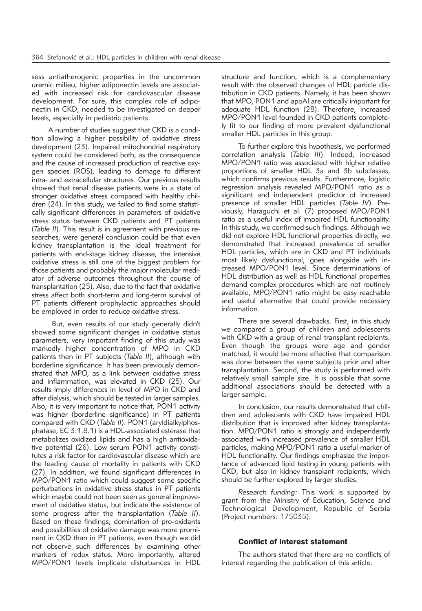sess antiatherogenic properties in the uncommon uremic milieu, higher adiponectin levels are associated with increased risk for cardiovascular disease development. For sure, this complex role of adiponectin in CKD, needed to be investigated on deeper levels, especially in pediatric patients.

A number of studies suggest that CKD is a condition allowing a higher possibility of oxidative stress development (23). Impaired mitochondrial respiratory system could be considered both, as the consequence and the cause of increased production of reactive oxygen species (ROS), leading to damage to different intra- and extracellular structures. Our previous results showed that renal disease patients were in a state of stronger oxidative stress compared with healthy children (24). In this study, we failed to find some statistically significant differences in parameters of oxidative stress status between CKD patients and PT patients (Table II). This result is in agreement with previous researches, were general conclusion could be that even kidney transplantation is the ideal treatment for patients with end-stage kidney disease, the intensive oxidative stress is still one of the biggest problem for those patients and probably the major molecular mediator of adverse outcomes throughout the course of transplantation (25). Also, due to the fact that oxidative stress affect both short-term and long-term survival of PT patients different prophylactic approaches should be employed in order to reduce oxidative stress.

But, even results of our study generally didn't showed some significant changes in oxidative status parameters, very important finding of this study was markedly higher concentration of MPO in CKD patients then in PT subjects (*Table II*), although with borderline significance. It has been previously demonstrated that MPO, as a link between oxidative stress and inflammation, was elevated in CKD (25). Our results imply differences in level of MPO in CKD and after dialysis, which should be tested in larger samples. Also, it is very important to notice that, PON1 activity was higher (borderline significance) in PT patients compared with CKD (*Table II*). PON1 (aryldialkylphosphatase, EC 3.1.8.1) is a HDL-associated esterase that metabolizes oxidized lipids and has a high antioxidative potential (26). Low serum PON1 activity constitutes a risk factor for cardiovascular disease which are the leading cause of mortality in patients with CKD (27). In addition, we found significant differences in MPO/PON1 ratio which could suggest some specific perturbations in oxidative stress status in PT patients which maybe could not been seen as general improvement of oxidative status, but indicate the existence of some progress after the transplantation (*Table II*). Based on these findings, domination of pro-oxidants and possibilities of oxidative damage was more prominent in CKD than in PT patients, even though we did not observe such differences by examining other markers of redox status. More importantly, altered MPO/PON1 levels implicate disturbances in HDL

structure and function, which is a complementary result with the observed changes of HDL particle distribution in CKD patients. Namely, it has been shown that MPO, PON1 and apoAI are critically important for adequate HDL function (28). Therefore, increased MPO/PON1 level founded in CKD patients completely fit to our finding of more prevalent dysfunctional smaller HDL particles in this group.

To further explore this hypothesis, we performed correlation analysis (*Table III*). Indeed, increased MPO/PON1 ratio was associated with higher relative proportions of smaller HDL 3a and 3b subclasses, which confirms previous results. Furthermore, logistic regression analysis revealed MPO/PON1 ratio as a significant and independent predictor of increased presence of smaller HDL particles (Table IV). Previously, Haraguchi et al. (7) proposed MPO/PON1 ratio as a useful index of impaired HDL functionality. In this study, we confirmed such findings. Although we did not explore HDL functional properties directly, we demonstrated that increased prevalence of smaller HDL particles, which are in CKD and PT individuals most likely dysfunctional, goes alongside with increased MPO/PON1 level. Since determinations of HDL distribution as well as HDL functional properties demand complex procedures which are not routinely available, MPO/PON1 ratio might be easy reachable and useful alternative that could provide necessary information.

There are several drawbacks. First, in this study we compared a group of children and adolescents with CKD with a group of renal transplant recipients. Even though the groups were age and gender matched, it would be more effective that comparison was done between the same subjects prior and after transplantation. Second, the study is performed with relatively small sample size. It is possible that some additional associations should be detected with a larger sample.

In conclusion, our results demonstrated that children and adolescents with CKD have impaired HDL distribution that is improved after kidney transplantation. MPO/PON1 ratio is strongly and independently associated with increased prevalence of smaller HDL particles, making MPO/PON1 ratio a useful marker of HDL functionality. Our findings emphasize the importance of advanced lipid testing in young patients with CKD, but also in kidney transplant recipients, which should be further explored by larger studies.

*Research funding:* This work is supported by grant from the Ministry of Education, Science and Technological Development, Republic of Serbia (Project numbers: 175035).

#### Conflict of interest statement

The authors stated that there are no conflicts of interest regarding the publication of this article.